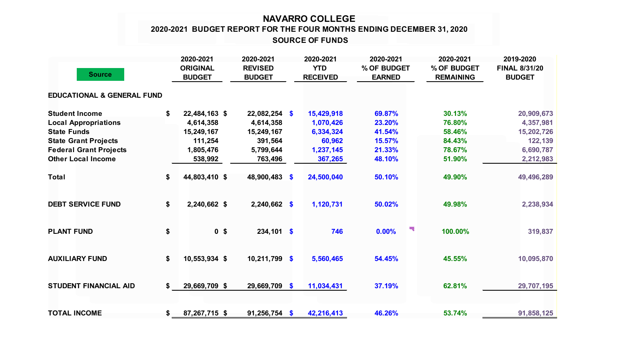## **NAVARRO COLLEGE 2020-2021 BUDGET REPORT FOR THE FOUR MONTHS ENDING DECEMBER 31, 2020**

 **SOURCE OF FUNDS**

| <b>Source</b>                                                                                                                                                           |    | 2020-2021<br><b>ORIGINAL</b><br><b>BUDGET</b>                               | 2020-2021<br><b>REVISED</b><br><b>BUDGET</b>                                  |  | 2020-2021<br><b>YTD</b><br><b>RECEIVED</b>                             | 2020-2021<br>% OF BUDGET<br><b>EARNED</b>                |   | 2020-2021<br>% OF BUDGET<br><b>REMAINING</b>             | 2019-2020<br><b>FINAL 8/31/20</b><br><b>BUDGET</b>                         |
|-------------------------------------------------------------------------------------------------------------------------------------------------------------------------|----|-----------------------------------------------------------------------------|-------------------------------------------------------------------------------|--|------------------------------------------------------------------------|----------------------------------------------------------|---|----------------------------------------------------------|----------------------------------------------------------------------------|
| <b>EDUCATIONAL &amp; GENERAL FUND</b>                                                                                                                                   |    |                                                                             |                                                                               |  |                                                                        |                                                          |   |                                                          |                                                                            |
| <b>Student Income</b><br><b>Local Appropriations</b><br><b>State Funds</b><br><b>State Grant Projects</b><br><b>Federal Grant Projects</b><br><b>Other Local Income</b> | \$ | 22,484,163 \$<br>4,614,358<br>15,249,167<br>111,254<br>1,805,476<br>538,992 | $22,082,254$ \$<br>4,614,358<br>15,249,167<br>391,564<br>5,799,644<br>763,496 |  | 15,429,918<br>1,070,426<br>6,334,324<br>60,962<br>1,237,145<br>367,265 | 69.87%<br>23.20%<br>41.54%<br>15.57%<br>21.33%<br>48.10% |   | 30.13%<br>76.80%<br>58.46%<br>84.43%<br>78.67%<br>51.90% | 20,909,673<br>4,357,981<br>15,202,726<br>122,139<br>6,690,787<br>2,212,983 |
| <b>Total</b>                                                                                                                                                            | \$ | 44,803,410 \$                                                               | 48,900,483 \$                                                                 |  | 24,500,040                                                             | 50.10%                                                   |   | 49.90%                                                   | 49,496,289                                                                 |
| <b>DEBT SERVICE FUND</b>                                                                                                                                                | \$ | 2,240,662 \$                                                                | $2,240,662$ \$                                                                |  | 1,120,731                                                              | 50.02%                                                   |   | 49.98%                                                   | 2,238,934                                                                  |
| <b>PLANT FUND</b>                                                                                                                                                       | \$ | 0 <sup>5</sup>                                                              | $234,101$ \$                                                                  |  | 746                                                                    | 0.00%                                                    | Ч | 100.00%                                                  | 319,837                                                                    |
| <b>AUXILIARY FUND</b>                                                                                                                                                   | \$ | 10,553,934 \$                                                               | $10,211,799$ \$                                                               |  | 5,560,465                                                              | 54.45%                                                   |   | 45.55%                                                   | 10,095,870                                                                 |
| <b>STUDENT FINANCIAL AID</b>                                                                                                                                            | \$ | 29,669,709 \$                                                               | 29,669,709 \$                                                                 |  | 11,034,431                                                             | 37.19%                                                   |   | 62.81%                                                   | 29,707,195                                                                 |
| <b>TOTAL INCOME</b>                                                                                                                                                     | \$ | 87,267,715 \$                                                               | $91,256,754$ \$                                                               |  | 42,216,413                                                             | 46.26%                                                   |   | 53.74%                                                   | 91,858,125                                                                 |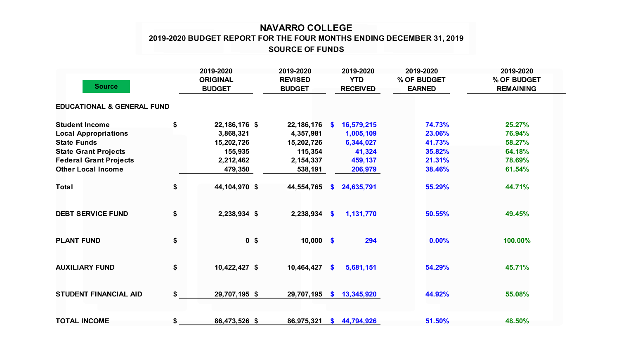## **NAVARRO COLLEGE 2019-2020 BUDGET REPORT FOR THE FOUR MONTHS ENDING DECEMBER 31, 2019 SOURCE OF FUNDS**

| <b>Source</b>                         | 2019-2020<br><b>ORIGINAL</b><br><b>BUDGET</b> | 2019-2020<br><b>REVISED</b><br><b>BUDGET</b> |              | 2019-2020<br><b>YTD</b><br><b>RECEIVED</b> | 2019-2020<br>% OF BUDGET<br><b>EARNED</b> | 2019-2020<br>% OF BUDGET<br><b>REMAINING</b> |
|---------------------------------------|-----------------------------------------------|----------------------------------------------|--------------|--------------------------------------------|-------------------------------------------|----------------------------------------------|
| <b>EDUCATIONAL &amp; GENERAL FUND</b> |                                               |                                              |              |                                            |                                           |                                              |
| <b>Student Income</b>                 | \$<br>22,186,176 \$                           | 22,186,176 \$                                |              | 16,579,215                                 | 74.73%                                    | 25.27%                                       |
| <b>Local Appropriations</b>           | 3,868,321                                     | 4,357,981                                    |              | 1,005,109                                  | 23.06%                                    | 76.94%                                       |
| <b>State Funds</b>                    | 15,202,726                                    | 15,202,726                                   |              | 6,344,027                                  | 41.73%                                    | 58.27%                                       |
| <b>State Grant Projects</b>           | 155,935                                       | 115,354                                      |              | 41,324                                     | 35.82%                                    | 64.18%                                       |
| <b>Federal Grant Projects</b>         | 2,212,462                                     | 2,154,337                                    |              | 459,137                                    | 21.31%                                    | 78.69%                                       |
| <b>Other Local Income</b>             | 479,350                                       | 538,191                                      |              | 206,979                                    | 38.46%                                    | 61.54%                                       |
| <b>Total</b>                          | \$<br>44,104,970 \$                           | 44,554,765                                   | S.           | 24,635,791                                 | 55.29%                                    | 44.71%                                       |
| <b>DEBT SERVICE FUND</b>              | \$<br>2,238,934 \$                            | $2,238,934$ \$                               |              | 1,131,770                                  | 50.55%                                    | 49.45%                                       |
| <b>PLANT FUND</b>                     | \$<br>0 <sup>5</sup>                          | $10,000$ \$                                  |              | 294                                        | 0.00%                                     | 100.00%                                      |
| <b>AUXILIARY FUND</b>                 | \$<br>10,422,427 \$                           | 10,464,427                                   | $\mathbf{s}$ | 5,681,151                                  | 54.29%                                    | 45.71%                                       |
| <b>STUDENT FINANCIAL AID</b>          | \$<br>29,707,195 \$                           | 29,707,195                                   | <b>S</b>     | 13,345,920                                 | 44.92%                                    | 55.08%                                       |
| <b>TOTAL INCOME</b>                   | \$<br>86,473,526 \$                           | 86,975,321                                   | <b>S</b>     | 44,794,926                                 | 51.50%                                    | 48.50%                                       |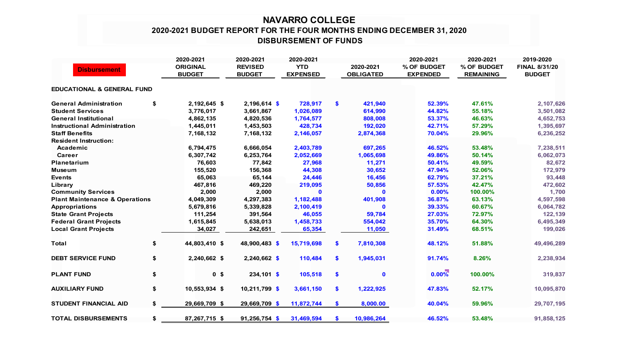## **NAVARRO COLLEGE 2020-2021 BUDGET REPORT FOR THE FOUR MONTHS ENDING DECEMBER 31, 2020 DISBURSEMENT OF FUNDS**

|                                           |    | 2020-2021                        | 2020-2021                       | 2020-2021                     |                               | 2020-2021                      | 2020-2021                       | 2019-2020                             |
|-------------------------------------------|----|----------------------------------|---------------------------------|-------------------------------|-------------------------------|--------------------------------|---------------------------------|---------------------------------------|
| <b>Disbursement</b>                       |    | <b>ORIGINAL</b><br><b>BUDGET</b> | <b>REVISED</b><br><b>BUDGET</b> | <b>YTD</b><br><b>EXPENSED</b> | 2020-2021<br><b>OBLIGATED</b> | % OF BUDGET<br><b>EXPENDED</b> | % OF BUDGET<br><b>REMAINING</b> | <b>FINAL 8/31/20</b><br><b>BUDGET</b> |
| <b>EDUCATIONAL &amp; GENERAL FUND</b>     |    |                                  |                                 |                               |                               |                                |                                 |                                       |
|                                           |    |                                  |                                 |                               |                               |                                |                                 |                                       |
| <b>General Administration</b>             | \$ | 2,192,645 \$                     | $2,196,614$ \$                  | 728,917                       | \$<br>421,940                 | 52.39%                         | 47.61%                          | 2,107,626                             |
| <b>Student Services</b>                   |    | 3,776,017                        | 3,661,867                       | 1,026,089                     | 614,990                       | 44.82%                         | 55.18%                          | 3,501,082                             |
| <b>General Institutional</b>              |    | 4,862,135                        | 4,820,536                       | 1,764,577                     | 808,008                       | 53.37%                         | 46.63%                          | 4,652,753                             |
| <b>Instructional Administration</b>       |    | 1,445,011                        | 1,453,503                       | 428,734                       | 192,020                       | 42.71%                         | 57.29%                          | 1,395,697                             |
| <b>Staff Benefits</b>                     |    | 7,168,132                        | 7,168,132                       | 2,146,057                     | 2,874,368                     | 70.04%                         | 29.96%                          | 6,236,252                             |
| <b>Resident Instruction:</b>              |    |                                  |                                 |                               |                               |                                |                                 |                                       |
| Academic                                  |    | 6,794,475                        | 6,666,054                       | 2,403,789                     | 697,265                       | 46.52%                         | 53.48%                          | 7,238,511                             |
| Career                                    |    | 6,307,742                        | 6,253,764                       | 2,052,669                     | 1,065,698                     | 49.86%                         | 50.14%                          | 6,062,073                             |
| Planetarium                               |    | 76,603                           | 77,842                          | 27,968                        | 11,271                        | 50.41%                         | 49.59%                          | 82,672                                |
| <b>Museum</b>                             |    | 155,520                          | 156,368                         | 44,308                        | 30,652                        | 47.94%                         | 52.06%                          | 172,979                               |
| <b>Events</b>                             |    | 65,063                           | 65,144                          | 24,446                        | 16,456                        | 62.79%                         | 37.21%                          | 93,448                                |
| Library                                   |    | 467,816                          | 469,220                         | 219,095                       | 50,856                        | 57.53%                         | 42.47%                          | 472,602                               |
| <b>Community Services</b>                 |    | 2,000                            | 2,000                           | $\mathbf{0}$                  | $\mathbf{0}$                  | 0.00%                          | 100.00%                         | 1,700                                 |
| <b>Plant Maintenance &amp; Operations</b> |    | 4,049,309                        | 4,297,383                       | 1,182,488                     | 401,908                       | 36.87%                         | 63.13%                          | 4,597,598                             |
| <b>Appropriations</b>                     |    | 5,679,816                        | 5,339,828                       | 2,100,419                     | $\mathbf 0$                   | 39.33%                         | 60.67%                          | 6,064,782                             |
| <b>State Grant Projects</b>               |    | 111,254                          | 391,564                         | 46,055                        | 59,784                        | 27.03%                         | 72.97%                          | 122,139                               |
| <b>Federal Grant Projects</b>             |    | 1,615,845                        | 5,638,013                       | 1,458,733                     | 554,042                       | 35.70%                         | 64.30%                          | 6,495,349                             |
| <b>Local Grant Projects</b>               |    | 34,027                           | 242,651                         | 65,354                        | 11,050                        | 31.49%                         | 68.51%                          | 199,026                               |
| <b>Total</b>                              | \$ | 44,803,410 \$                    | 48,900,483 \$                   | 15,719,698                    | \$<br>7,810,308               | 48.12%                         | 51.88%                          | 49,496,289                            |
| <b>DEBT SERVICE FUND</b>                  | \$ | 2,240,662 \$                     | $2,240,662$ \$                  | 110,484                       | \$<br>1,945,031               | 91.74%                         | 8.26%                           | 2,238,934                             |
| <b>PLANT FUND</b>                         | \$ | 0 <sup>5</sup>                   | $234,101$ \$                    | 105,518                       | \$<br>$\mathbf 0$             | $0.00\%$                       | 100.00%                         | 319,837                               |
| <b>AUXILIARY FUND</b>                     | \$ | 10,553,934 \$                    | $10,211,799$ \$                 | 3,661,150                     | \$<br>1,222,925               | 47.83%                         | 52.17%                          | 10,095,870                            |
| <b>STUDENT FINANCIAL AID</b>              | \$ | 29,669,709 \$                    | 29,669,709 \$                   | 11,872,744                    | \$<br>8,000.00                | 40.04%                         | 59.96%                          | 29,707,195                            |
| <b>TOTAL DISBURSEMENTS</b>                | \$ | 87,267,715 \$                    | $91,256,754$ \$                 | 31,469,594                    | \$<br>10,986,264              | 46.52%                         | 53.48%                          | 91,858,125                            |